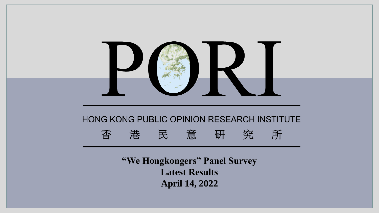

**April 14, 2022**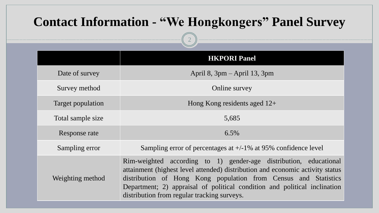# **Contact Information - "We Hongkongers" Panel Survey**

2

|                   | <b>HKPORI Panel</b>                                                                                                                                                                                                                                                                                                                               |
|-------------------|---------------------------------------------------------------------------------------------------------------------------------------------------------------------------------------------------------------------------------------------------------------------------------------------------------------------------------------------------|
| Date of survey    | April 8, $3pm -$ April 13, $3pm$                                                                                                                                                                                                                                                                                                                  |
| Survey method     | Online survey                                                                                                                                                                                                                                                                                                                                     |
| Target population | Hong Kong residents aged $12+$                                                                                                                                                                                                                                                                                                                    |
| Total sample size | 5,685                                                                                                                                                                                                                                                                                                                                             |
| Response rate     | $6.5\%$                                                                                                                                                                                                                                                                                                                                           |
| Sampling error    | Sampling error of percentages at $+/-1\%$ at 95% confidence level                                                                                                                                                                                                                                                                                 |
| Weighting method  | Rim-weighted according to 1) gender-age distribution, educational<br>attainment (highest level attended) distribution and economic activity status<br>distribution of Hong Kong population from Census and Statistics<br>Department; 2) appraisal of political condition and political inclination<br>distribution from regular tracking surveys. |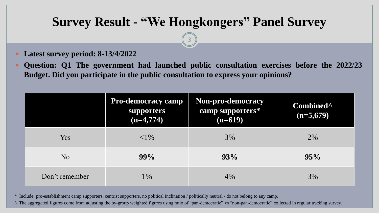3

- **Latest survey period: 8-13/4/2022**
- **Question: Q1 The government had launched public consultation exercises before the 2022/23 Budget. Did you participate in the public consultation to express your opinions?**

|                | <b>Pro-democracy camp</b><br>supporters<br>$(n=4,774)$ | Non-pro-democracy<br>camp supporters*<br>$(n=619)$ | Combined <sup>^</sup><br>$(n=5,679)$ |
|----------------|--------------------------------------------------------|----------------------------------------------------|--------------------------------------|
| Yes            | ${<}1\%$                                               | 3%                                                 | $2\%$                                |
| N <sub>o</sub> | 99%                                                    | 93%                                                | 95%                                  |
| Don't remember | $1\%$                                                  | 4%                                                 | 3%                                   |

\* Include: pro-establishment camp supporters, centrist supporters, no political inclination / politically neutral / do not belong to any camp.

^ The aggregated figures come from adjusting the by-group weighted figures using ratio of "pan-democratic" vs "non-pan-democratic" collected in regular tracking survey.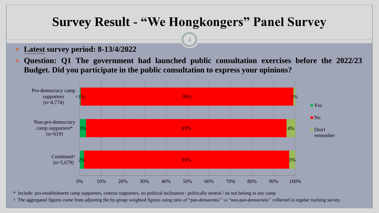4

- **Latest survey period: 8-13/4/2022**
- **Question: Q1 The government had launched public consultation exercises before the 2022/23 Budget. Did you participate in the public consultation to express your opinions?**



\* Include: pro-establishment camp supporters, centrist supporters, no political inclination / politically neutral / do not belong to any camp

^ The aggregated figures come from adjusting the by-group weighted figures using ratio of "pan-democratic" vs "non-pan-democratic" collected in regular tracking survey.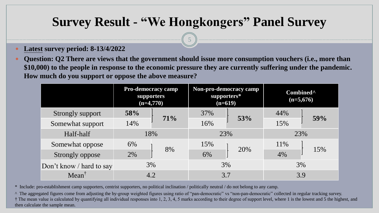5

- **Latest survey period: 8-13/4/2022**
- **Question: Q2 There are views that the government should issue more consumption vouchers (i.e., more than \$10,000) to the people in response to the economic pressure they are currently suffering under the pandemic. How much do you support or oppose the above measure?**

|                          | <b>Pro-democracy camp</b><br><b>supporters</b><br>$(n=4,770)$ |     | Non-pro-democracy camp<br>supporters*<br>$(n=619)$ |     | Combined <sup>^</sup><br>$(n=5,676)$ |     |
|--------------------------|---------------------------------------------------------------|-----|----------------------------------------------------|-----|--------------------------------------|-----|
| Strongly support         | 58%                                                           |     | 37%                                                | 53% | 44%                                  | 59% |
| Somewhat support         | 14%                                                           | 71% | 16%                                                |     | 15%                                  |     |
| Half-half                | 18%                                                           |     |                                                    | 23% | 23%                                  |     |
| Somewhat oppose          | 6%                                                            | 8%  | 15%                                                | 20% | 11\%                                 | 15% |
| Strongly oppose          | 2%                                                            |     | 6%                                                 |     | 4%                                   |     |
| Don't know / hard to say | 3%                                                            |     |                                                    | 3%  | 3%                                   |     |
| $Mean^{\dagger}$         | 4.2                                                           |     | 3.7                                                |     | 3.9                                  |     |

\* Include: pro-establishment camp supporters, centrist supporters, no political inclination / politically neutral / do not belong to any camp.

^ The aggregated figures come from adjusting the by-group weighted figures using ratio of "pan-democratic" vs "non-pan-democratic" collected in regular tracking survey. † The mean value is calculated by quantifying all individual responses into 1, 2, 3, 4, 5 marks according to their degree of support level, where 1 is the lowest and 5 the highest, and then calculate the sample mean.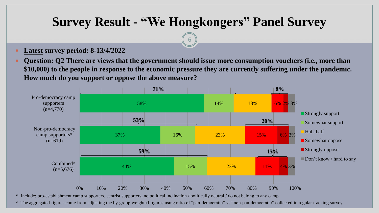$\sigma$ 

- **Latest survey period: 8-13/4/2022**
- **Question: Q2 There are views that the government should issue more consumption vouchers (i.e., more than \$10,000) to the people in response to the economic pressure they are currently suffering under the pandemic. How much do you support or oppose the above measure?**



\* Include: pro-establishment camp supporters, centrist supporters, no political inclination / politically neutral / do not belong to any camp.

^ The aggregated figures come from adjusting the by-group weighted figures using ratio of "pan-democratic" vs "non-pan-democratic" collected in regular tracking survey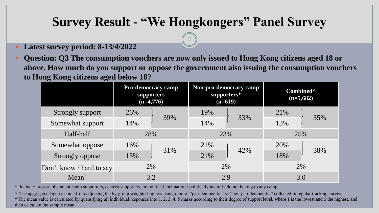7

- **Latest survey period: 8-13/4/2022**
- **Question: Q3 The consumption vouchers are now only issued to Hong Kong citizens aged 18 or above. How much do you support or oppose the government also issuing the consumption vouchers to Hong Kong citizens aged below 18?**

|                          | <b>Pro-democracy camp</b><br><b>supporters</b><br>$(n=4,776)$ |     | Non-pro-democracy camp<br>supporters*<br>$(n=619)$ |     | Combined <sup>^</sup><br>$(n=5,682)$ |     |
|--------------------------|---------------------------------------------------------------|-----|----------------------------------------------------|-----|--------------------------------------|-----|
| Strongly support         | 26%                                                           |     | 19%                                                |     | 21%                                  |     |
| Somewhat support         | 14%                                                           | 39% | 14%                                                | 33% | 13%                                  | 35% |
| Half-half                | 28%                                                           |     | 23%                                                |     | 25%                                  |     |
| Somewhat oppose          | 16%                                                           | 31% | 21%                                                | 42% | 20%                                  | 38% |
| Strongly oppose          | 15%                                                           |     | 21%                                                |     | 18%                                  |     |
| Don't know / hard to say | 2%                                                            |     | 2%                                                 |     |                                      | 2%  |
| $Mean^{\dagger}$         | 3.2                                                           |     | 2.9                                                |     | 3.0                                  |     |

\* Include: pro-establishment camp supporters, centrist supporters, no political inclination / politically neutral / do not belong to any camp.

^ The aggregated figures come from adjusting the by-group weighted figures using ratio of "pan-democratic" vs "non-pan-democratic" collected in regular tracking survey. † The mean value is calculated by quantifying all individual responses into 1, 2, 3, 4, 5 marks according to their degree of support level, where 1 is the lowest and 5 the highest, and then calculate the sample mean.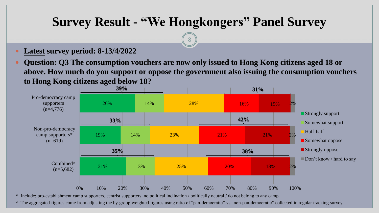8

- **Latest survey period: 8-13/4/2022**
- **Question: Q3 The consumption vouchers are now only issued to Hong Kong citizens aged 18 or above. How much do you support or oppose the government also issuing the consumption vouchers to Hong Kong citizens aged below 18?**



\* Include: pro-establishment camp supporters, centrist supporters, no political inclination / politically neutral / do not belong to any camp.

^ The aggregated figures come from adjusting the by-group weighted figures using ratio of "pan-democratic" vs "non-pan-democratic" collected in regular tracking survey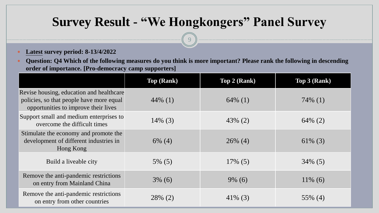9

- **Latest survey period: 8-13/4/2022**
- **Question: Q4 Which of the following measures do you think is more important? Please rank the following in descending order of importance. [Pro-democracy camp supporters]**

|                                                                                                                              | <b>Top (Rank)</b> | <b>Top 2 (Rank)</b> | <b>Top 3 (Rank)</b> |
|------------------------------------------------------------------------------------------------------------------------------|-------------------|---------------------|---------------------|
| Revise housing, education and healthcare<br>policies, so that people have more equal<br>opportunities to improve their lives | $44\%$ (1)        | $64\%$ (1)          | $74\%$ (1)          |
| Support small and medium enterprises to<br>overcome the difficult times                                                      | $14\%$ (3)        | $43\%$ (2)          | $64\%$ (2)          |
| Stimulate the economy and promote the<br>development of different industries in<br>Hong Kong                                 | $6\%$ (4)         | $26\%$ (4)          | $61\%$ (3)          |
| Build a liveable city                                                                                                        | $5\%$ (5)         | $17\%$ (5)          | $34\%$ (5)          |
| Remove the anti-pandemic restrictions<br>on entry from Mainland China                                                        | $3\%$ (6)         | $9\%$ (6)           | $11\%$ (6)          |
| Remove the anti-pandemic restrictions<br>on entry from other countries                                                       | 28% (2)           | $41\%$ (3)          | 55% (4)             |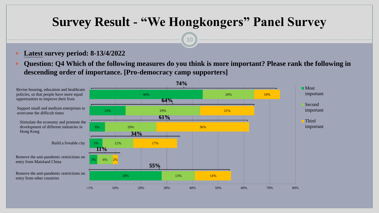10

#### **Latest survey period: 8-13/4/2022**

 **Question: Q4 Which of the following measures do you think is more important? Please rank the following in descending order of importance. [Pro-democracy camp supporters]**

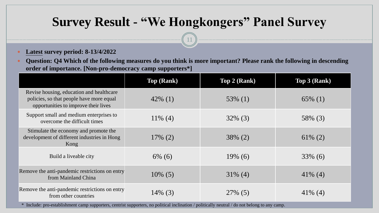11

- **Latest survey period: 8-13/4/2022**
- **Question: Q4 Which of the following measures do you think is more important? Please rank the following in descending order of importance. [Non-pro-democracy camp supporters\*]**

|                                                                                                                              | <b>Top (Rank)</b> | <b>Top 2 (Rank)</b> | Top 3 (Rank) |
|------------------------------------------------------------------------------------------------------------------------------|-------------------|---------------------|--------------|
| Revise housing, education and healthcare<br>policies, so that people have more equal<br>opportunities to improve their lives | $42\%$ (1)        | $53\%$ (1)          | $65\%$ (1)   |
| Support small and medium enterprises to<br>overcome the difficult times                                                      | $11\%$ (4)        | $32\%$ (3)          | 58% (3)      |
| Stimulate the economy and promote the<br>development of different industries in Hong<br>Kong                                 | $17\%$ (2)        | $38\%$ (2)          | $61\%$ (2)   |
| Build a liveable city                                                                                                        | $6\%$ (6)         | $19\%$ (6)          | $33\%$ (6)   |
| Remove the anti-pandemic restrictions on entry<br>from Mainland China                                                        | $10\%$ (5)        | $31\%$ (4)          | $41\%$ (4)   |
| Remove the anti-pandemic restrictions on entry<br>from other countries                                                       | $14\%$ (3)        | 27% (5)             | $41\%$ (4)   |

\* Include: pro-establishment camp supporters, centrist supporters, no political inclination / politically neutral / do not belong to any camp.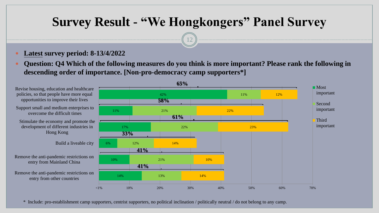12

#### **Latest survey period: 8-13/4/2022**

 **Question: Q4 Which of the following measures do you think is more important? Please rank the following in descending order of importance. [Non-pro-democracy camp supporters\*]**



\* Include: pro-establishment camp supporters, centrist supporters, no political inclination / politically neutral / do not belong to any camp.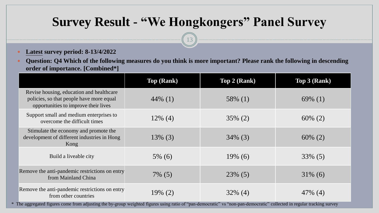13

- **Latest survey period: 8-13/4/2022**
- **•** Question: Q4 Which of the following measures do you think is more important? Please rank the following in descending **order of importance. [Combined\*]**

|                                                                                                                              | <b>Top (Rank)</b> | <b>Top 2 (Rank)</b> | Top 3 (Rank) |
|------------------------------------------------------------------------------------------------------------------------------|-------------------|---------------------|--------------|
| Revise housing, education and healthcare<br>policies, so that people have more equal<br>opportunities to improve their lives | $44\%$ (1)        | 58\% $(1)$          | 69% $(1)$    |
| Support small and medium enterprises to<br>overcome the difficult times                                                      | $12\%$ (4)        | $35\%$ (2)          | $60\%$ (2)   |
| Stimulate the economy and promote the<br>development of different industries in Hong<br>Kong                                 | $13\%$ (3)        | $34\%$ (3)          | $60\%$ (2)   |
| Build a liveable city                                                                                                        | $5\%$ (6)         | $19\%$ (6)          | 33% (5)      |
| Remove the anti-pandemic restrictions on entry<br>from Mainland China                                                        | $7\%$ (5)         | $23\%$ (5)          | $31\%$ (6)   |
| Remove the anti-pandemic restrictions on entry<br>from other countries                                                       | $19\% (2)$        | $32\%$ (4)          | $47\%$ (4)   |

\* The aggregated figures come from adjusting the by-group weighted figures using ratio of "pan-democratic" vs "non-pan-democratic" collected in regular tracking survey